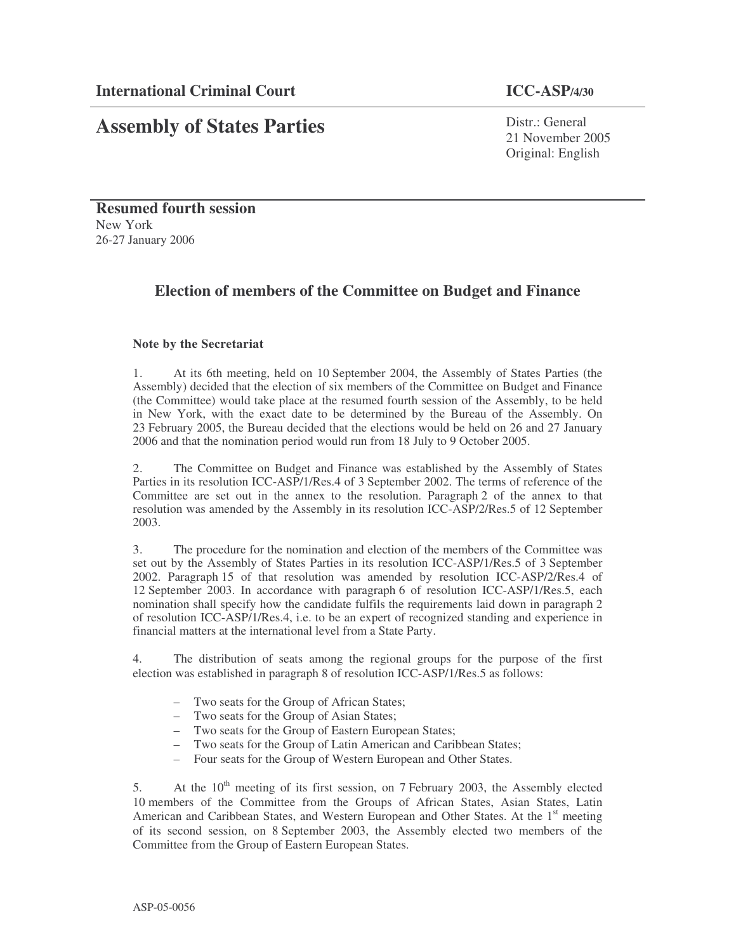# **Assembly of States Parties**

Distr · General 21 November 2005 Original: English

**Resumed fourth session** New York 26-27 January 2006

# **Election of members of the Committee on Budget and Finance**

# **Note by the Secretariat**

1. At its 6th meeting, held on 10 September 2004, the Assembly of States Parties (the Assembly) decided that the election of six members of the Committee on Budget and Finance (the Committee) would take place at the resumed fourth session of the Assembly, to be held in New York, with the exact date to be determined by the Bureau of the Assembly. On 23 February 2005, the Bureau decided that the elections would be held on 26 and 27 January 2006 and that the nomination period would run from 18 July to 9 October 2005.

2. The Committee on Budget and Finance was established by the Assembly of States Parties in its resolution ICC-ASP/1/Res.4 of 3 September 2002. The terms of reference of the Committee are set out in the annex to the resolution. Paragraph 2 of the annex to that resolution was amended by the Assembly in its resolution ICC-ASP/2/Res.5 of 12 September 2003.

3. The procedure for the nomination and election of the members of the Committee was set out by the Assembly of States Parties in its resolution ICC-ASP/1/Res.5 of 3 September 2002. Paragraph 15 of that resolution was amended by resolution ICC-ASP/2/Res.4 of 12 September 2003. In accordance with paragraph 6 of resolution ICC-ASP/1/Res.5, each nomination shall specify how the candidate fulfils the requirements laid down in paragraph 2 of resolution ICC-ASP/1/Res.4, i.e. to be an expert of recognized standing and experience in financial matters at the international level from a State Party.

4. The distribution of seats among the regional groups for the purpose of the first election was established in paragraph 8 of resolution ICC-ASP/1/Res.5 as follows:

- Two seats for the Group of African States;
- Two seats for the Group of Asian States;
- Two seats for the Group of Eastern European States;
- Two seats for the Group of Latin American and Caribbean States;
- Four seats for the Group of Western European and Other States.

5. At the 10<sup>th</sup> meeting of its first session, on 7 February 2003, the Assembly elected 10 members of the Committee from the Groups of African States, Asian States, Latin American and Caribbean States, and Western European and Other States. At the 1<sup>st</sup> meeting of its second session, on 8 September 2003, the Assembly elected two members of the Committee from the Group of Eastern European States.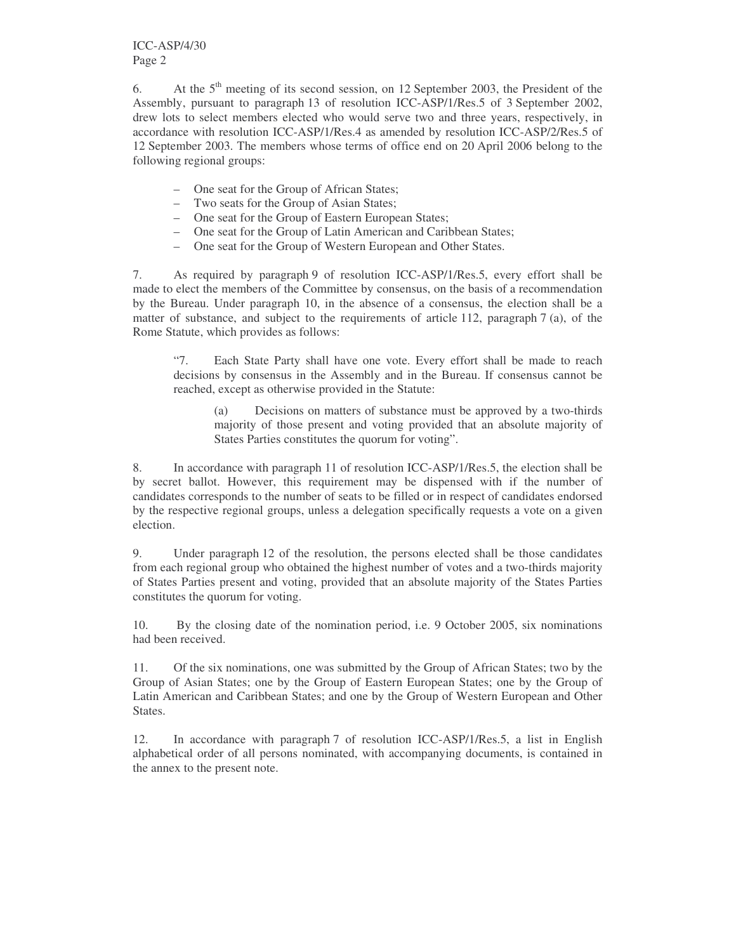6. At the  $5<sup>th</sup>$  meeting of its second session, on 12 September 2003, the President of the Assembly, pursuant to paragraph 13 of resolution ICC-ASP/1/Res.5 of 3 September 2002, drew lots to select members elected who would serve two and three years, respectively, in accordance with resolution ICC-ASP/1/Res.4 as amended by resolution ICC-ASP/2/Res.5 of 12 September 2003. The members whose terms of office end on 20 April 2006 belong to the following regional groups:

- One seat for the Group of African States;
- Two seats for the Group of Asian States;
- One seat for the Group of Eastern European States;
- One seat for the Group of Latin American and Caribbean States;
- One seat for the Group of Western European and Other States.

7. As required by paragraph 9 of resolution ICC-ASP/1/Res.5, every effort shall be made to elect the members of the Committee by consensus, on the basis of a recommendation by the Bureau. Under paragraph 10, in the absence of a consensus, the election shall be a matter of substance, and subject to the requirements of article 112, paragraph 7 (a), of the Rome Statute, which provides as follows:

"7. Each State Party shall have one vote. Every effort shall be made to reach decisions by consensus in the Assembly and in the Bureau. If consensus cannot be reached, except as otherwise provided in the Statute:

(a) Decisions on matters of substance must be approved by a two-thirds majority of those present and voting provided that an absolute majority of States Parties constitutes the quorum for voting".

8. In accordance with paragraph 11 of resolution ICC-ASP/1/Res.5, the election shall be by secret ballot. However, this requirement may be dispensed with if the number of candidates corresponds to the number of seats to be filled or in respect of candidates endorsed by the respective regional groups, unless a delegation specifically requests a vote on a given election.

9. Under paragraph 12 of the resolution, the persons elected shall be those candidates from each regional group who obtained the highest number of votes and a two-thirds majority of States Parties present and voting, provided that an absolute majority of the States Parties constitutes the quorum for voting.

10. By the closing date of the nomination period, i.e. 9 October 2005, six nominations had been received.

11. Of the six nominations, one was submitted by the Group of African States; two by the Group of Asian States; one by the Group of Eastern European States; one by the Group of Latin American and Caribbean States; and one by the Group of Western European and Other States.

12. In accordance with paragraph 7 of resolution ICC-ASP/1/Res.5, a list in English alphabetical order of all persons nominated, with accompanying documents, is contained in the annex to the present note.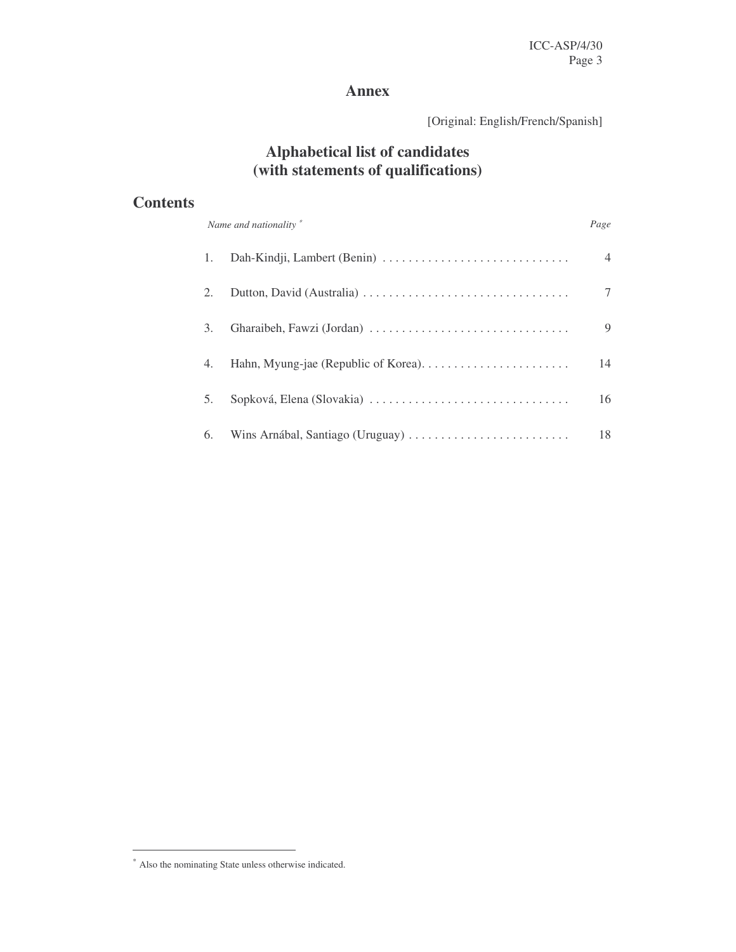# **Annex**

[Original: English/French/Spanish]

# **Alphabetical list of candidates (with statements of qualifications)**

# **Contents**

| Name and nationality * |                           | Page |  |
|------------------------|---------------------------|------|--|
| 1.                     |                           | 4    |  |
| 2.                     |                           |      |  |
| 3.                     |                           | 9    |  |
| 4.                     |                           | 14   |  |
| 5.                     | Sopková, Elena (Slovakia) | 16   |  |
| 6.                     |                           | 18   |  |

<sup>∗</sup> Also the nominating State unless otherwise indicated.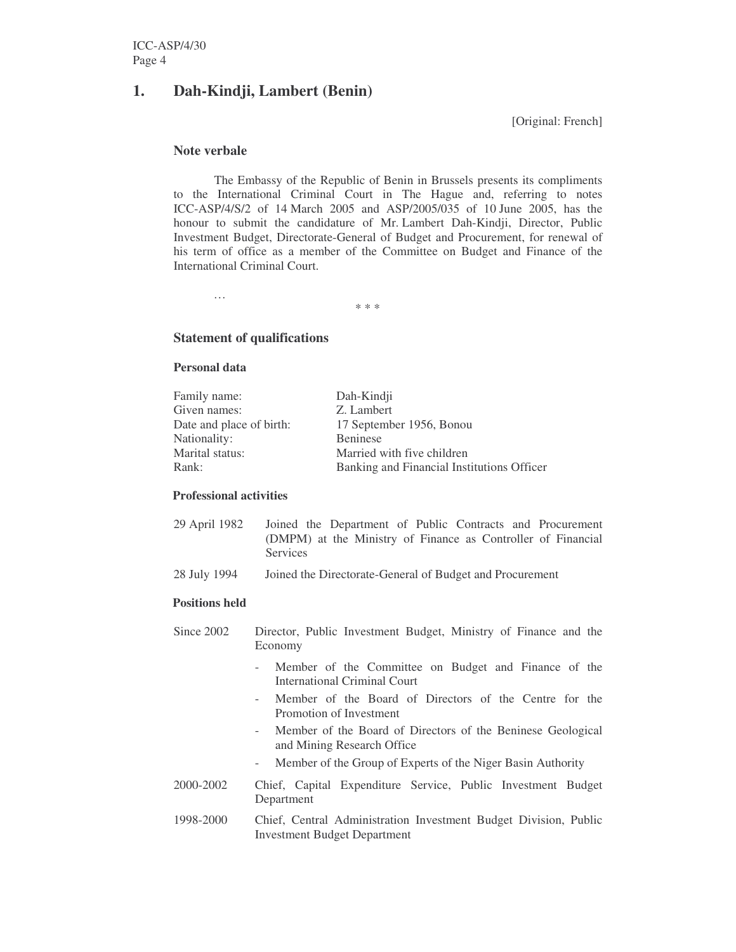# **1. Dah-Kindji, Lambert (Benin)**

[Original: French]

## **Note verbale**

The Embassy of the Republic of Benin in Brussels presents its compliments to the International Criminal Court in The Hague and, referring to notes ICC-ASP/4/S/2 of 14 March 2005 and ASP/2005/035 of 10 June 2005, has the honour to submit the candidature of Mr. Lambert Dah-Kindji, Director, Public Investment Budget, Directorate-General of Budget and Procurement, for renewal of his term of office as a member of the Committee on Budget and Finance of the International Criminal Court.

\* \* \*

# **Statement of qualifications**

## **Personal data**

…

| Family name:             | Dah-Kindji                                 |
|--------------------------|--------------------------------------------|
| Given names:             | Z. Lambert                                 |
| Date and place of birth: | 17 September 1956, Bonou                   |
| Nationality:             | <b>Beninese</b>                            |
| Marital status:          | Married with five children                 |
| Rank:                    | Banking and Financial Institutions Officer |
|                          |                                            |

# **Professional activities**

| 29 April 1982 |                 | Joined the Department of Public Contracts and Procurement    |  |  |  |
|---------------|-----------------|--------------------------------------------------------------|--|--|--|
|               |                 | (DMPM) at the Ministry of Finance as Controller of Financial |  |  |  |
|               | <b>Services</b> |                                                              |  |  |  |

28 July 1994 Joined the Directorate-General of Budget and Procurement

## **Positions held**

- Since 2002 Director, Public Investment Budget, Ministry of Finance and the Economy
	- Member of the Committee on Budget and Finance of the International Criminal Court
	- Member of the Board of Directors of the Centre for the Promotion of Investment
	- Member of the Board of Directors of the Beninese Geological and Mining Research Office
	- Member of the Group of Experts of the Niger Basin Authority
- 2000-2002 Chief, Capital Expenditure Service, Public Investment Budget Department
- 1998-2000 Chief, Central Administration Investment Budget Division, Public Investment Budget Department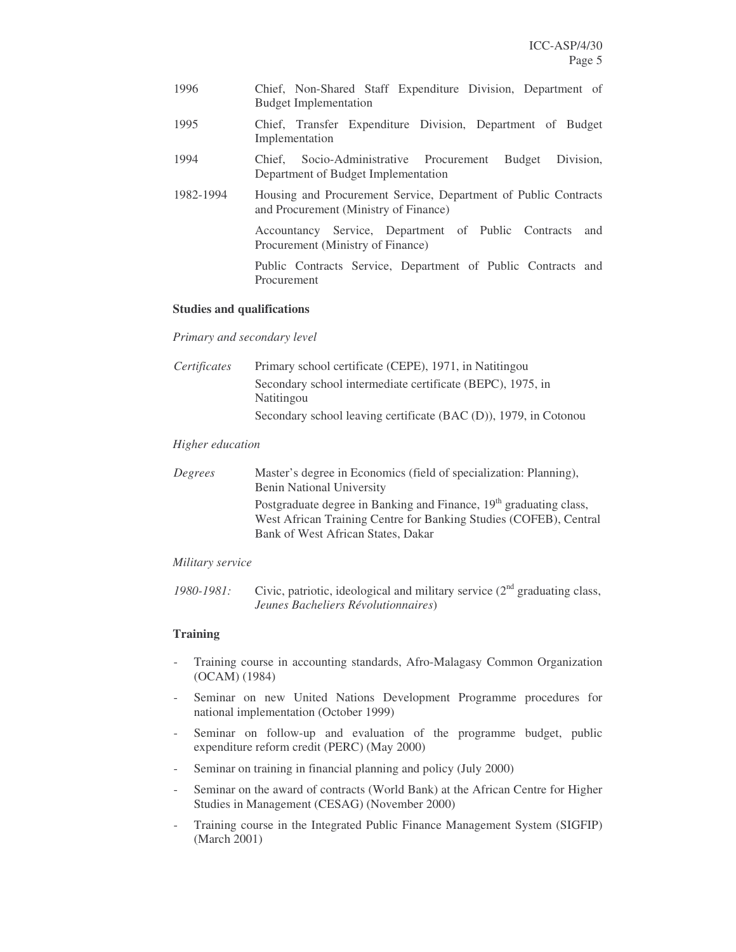| 1996      | Chief, Non-Shared Staff Expenditure Division, Department of<br><b>Budget Implementation</b>              |
|-----------|----------------------------------------------------------------------------------------------------------|
| 1995      | Chief, Transfer Expenditure Division, Department of Budget<br>Implementation                             |
| 1994      | Division.<br>Chief, Socio-Administrative Procurement<br>Budget<br>Department of Budget Implementation    |
| 1982-1994 | Housing and Procurement Service, Department of Public Contracts<br>and Procurement (Ministry of Finance) |
|           | Accountancy Service, Department of Public Contracts<br>and<br>Procurement (Ministry of Finance)          |
|           | Public Contracts Service, Department of Public Contracts and<br>Procurement                              |

## **Studies and qualifications**

## *Primary and secondary level*

| Certificates | Primary school certificate (CEPE), 1971, in Natitingou           |
|--------------|------------------------------------------------------------------|
|              | Secondary school intermediate certificate (BEPC), 1975, in       |
|              | Natitingou                                                       |
|              | Secondary school leaving certificate (BAC (D)), 1979, in Cotonou |

## *Higher education*

| Degrees | Master's degree in Economics (field of specialization: Planning),<br><b>Benin National University</b>                                                                           |
|---------|---------------------------------------------------------------------------------------------------------------------------------------------------------------------------------|
|         | Postgraduate degree in Banking and Finance, $19th$ graduating class,<br>West African Training Centre for Banking Studies (COFEB), Central<br>Bank of West African States, Dakar |

# *Military service*

1980-1981: Civic, patriotic, ideological and military service  $(2<sup>nd</sup>$  graduating class, *Jeunes Bacheliers Révolutionnaires*)

# **Training**

- Training course in accounting standards, Afro-Malagasy Common Organization (OCAM) (1984)
- Seminar on new United Nations Development Programme procedures for national implementation (October 1999)
- Seminar on follow-up and evaluation of the programme budget, public expenditure reform credit (PERC) (May 2000)
- Seminar on training in financial planning and policy (July 2000)
- Seminar on the award of contracts (World Bank) at the African Centre for Higher Studies in Management (CESAG) (November 2000)
- Training course in the Integrated Public Finance Management System (SIGFIP) (March 2001)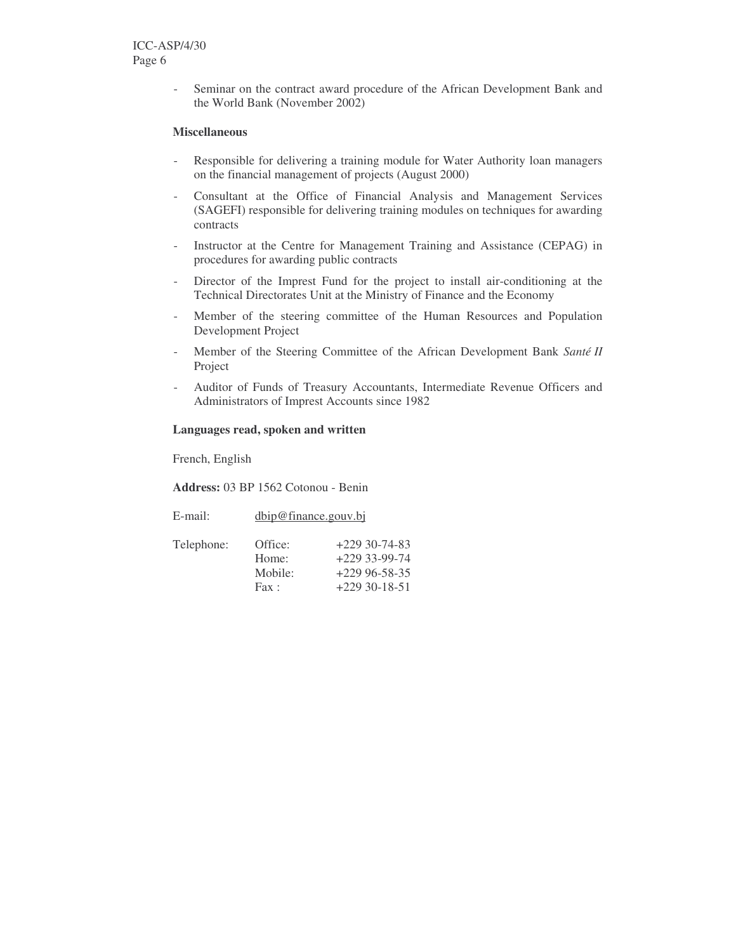- Seminar on the contract award procedure of the African Development Bank and the World Bank (November 2002)

# **Miscellaneous**

- Responsible for delivering a training module for Water Authority loan managers on the financial management of projects (August 2000)
- Consultant at the Office of Financial Analysis and Management Services (SAGEFI) responsible for delivering training modules on techniques for awarding contracts
- Instructor at the Centre for Management Training and Assistance (CEPAG) in procedures for awarding public contracts
- Director of the Imprest Fund for the project to install air-conditioning at the Technical Directorates Unit at the Ministry of Finance and the Economy
- Member of the steering committee of the Human Resources and Population Development Project
- Member of the Steering Committee of the African Development Bank *Santé II* Project
- Auditor of Funds of Treasury Accountants, Intermediate Revenue Officers and Administrators of Imprest Accounts since 1982

## **Languages read, spoken and written**

French, English

**Address:** 03 BP 1562 Cotonou - Benin

| E-mail:    | dbip@finance.gouv.bj                         |                                                                          |  |
|------------|----------------------------------------------|--------------------------------------------------------------------------|--|
| Telephone: | Office:<br>Home:<br>Mobile:<br>$\text{Fax}:$ | $+22930-74-83$<br>$+22933-99-74$<br>$+22996 - 58 - 35$<br>$+22930-18-51$ |  |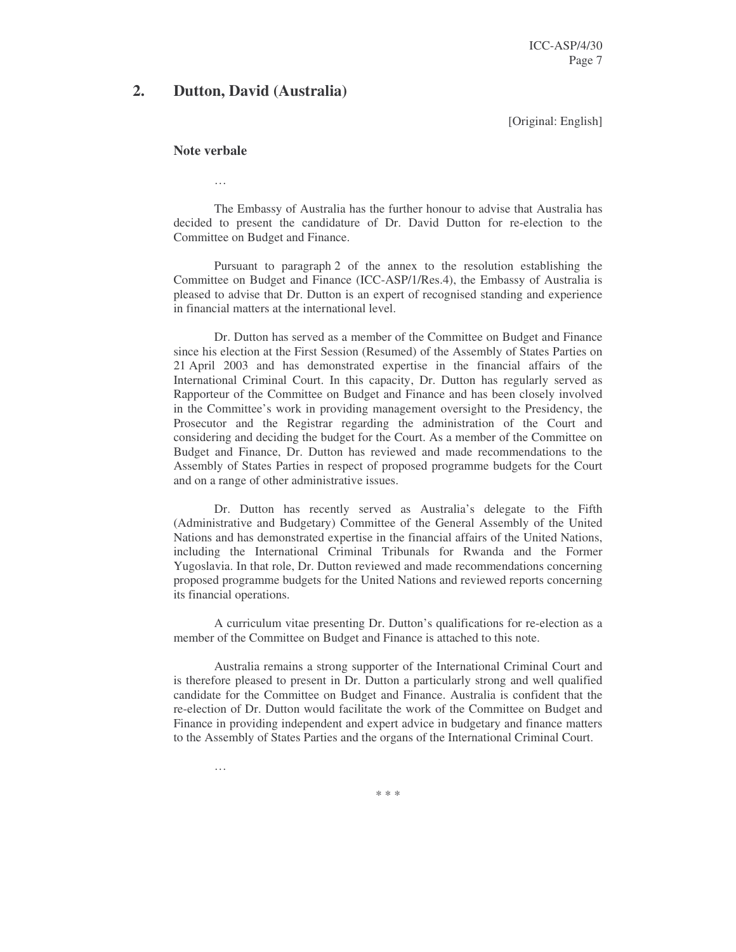ICC-ASP/4/30 Page 7

# **2. Dutton, David (Australia)**

[Original: English]

#### **Note verbale**

…

…

The Embassy of Australia has the further honour to advise that Australia has decided to present the candidature of Dr. David Dutton for re-election to the Committee on Budget and Finance.

Pursuant to paragraph 2 of the annex to the resolution establishing the Committee on Budget and Finance (ICC-ASP/1/Res.4), the Embassy of Australia is pleased to advise that Dr. Dutton is an expert of recognised standing and experience in financial matters at the international level.

Dr. Dutton has served as a member of the Committee on Budget and Finance since his election at the First Session (Resumed) of the Assembly of States Parties on 21 April 2003 and has demonstrated expertise in the financial affairs of the International Criminal Court. In this capacity, Dr. Dutton has regularly served as Rapporteur of the Committee on Budget and Finance and has been closely involved in the Committee's work in providing management oversight to the Presidency, the Prosecutor and the Registrar regarding the administration of the Court and considering and deciding the budget for the Court. As a member of the Committee on Budget and Finance, Dr. Dutton has reviewed and made recommendations to the Assembly of States Parties in respect of proposed programme budgets for the Court and on a range of other administrative issues.

Dr. Dutton has recently served as Australia's delegate to the Fifth (Administrative and Budgetary) Committee of the General Assembly of the United Nations and has demonstrated expertise in the financial affairs of the United Nations, including the International Criminal Tribunals for Rwanda and the Former Yugoslavia. In that role, Dr. Dutton reviewed and made recommendations concerning proposed programme budgets for the United Nations and reviewed reports concerning its financial operations.

A curriculum vitae presenting Dr. Dutton's qualifications for re-election as a member of the Committee on Budget and Finance is attached to this note.

Australia remains a strong supporter of the International Criminal Court and is therefore pleased to present in Dr. Dutton a particularly strong and well qualified candidate for the Committee on Budget and Finance. Australia is confident that the re-election of Dr. Dutton would facilitate the work of the Committee on Budget and Finance in providing independent and expert advice in budgetary and finance matters to the Assembly of States Parties and the organs of the International Criminal Court.

\* \* \*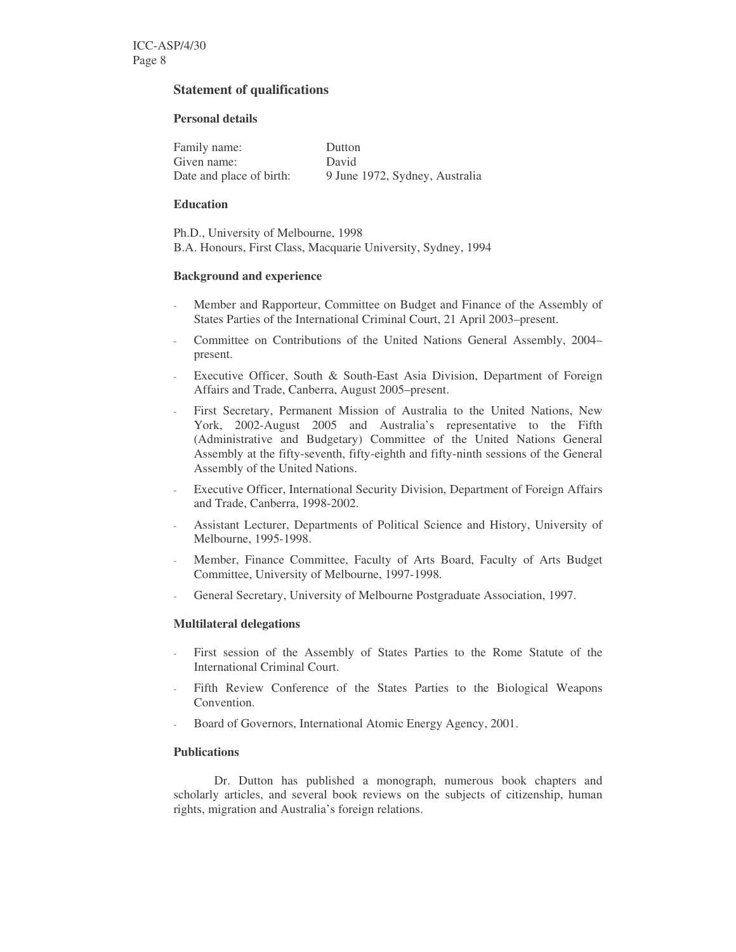# **Statement of qualifications**

## **Personal details**

| Family name:             | Dutton                         |
|--------------------------|--------------------------------|
| Given name:              | David                          |
| Date and place of birth: | 9 June 1972, Sydney, Australia |

#### **Education**

Ph.D., University of Melbourne, 1998 B.A. Honours, First Class, Macquarie University, Sydney, 1994

## **Background and experience**

- Member and Rapporteur, Committee on Budget and Finance of the Assembly of States Parties of the International Criminal Court, 21 April 2003–present.
- Committee on Contributions of the United Nations General Assembly, 2004– present.
- Executive Officer, South & South-East Asia Division, Department of Foreign Affairs and Trade, Canberra, August 2005–present.
- First Secretary, Permanent Mission of Australia to the United Nations, New York, 2002-August 2005 and Australia's representative to the Fifth (Administrative and Budgetary) Committee of the United Nations General Assembly at the fifty-seventh, fifty-eighth and fifty-ninth sessions of the General Assembly of the United Nations.
- Executive Officer, International Security Division, Department of Foreign Affairs and Trade, Canberra, 1998-2002.
- Assistant Lecturer, Departments of Political Science and History, University of Melbourne, 1995-1998.
- Member, Finance Committee, Faculty of Arts Board, Faculty of Arts Budget Committee, University of Melbourne, 1997-1998.
- General Secretary, University of Melbourne Postgraduate Association, 1997.

# **Multilateral delegations**

- First session of the Assembly of States Parties to the Rome Statute of the International Criminal Court.
- Fifth Review Conference of the States Parties to the Biological Weapons Convention.
- Board of Governors, International Atomic Energy Agency, 2001.

# **Publications**

Dr. Dutton has published a monograph, numerous book chapters and scholarly articles, and several book reviews on the subjects of citizenship, human rights, migration and Australia's foreign relations.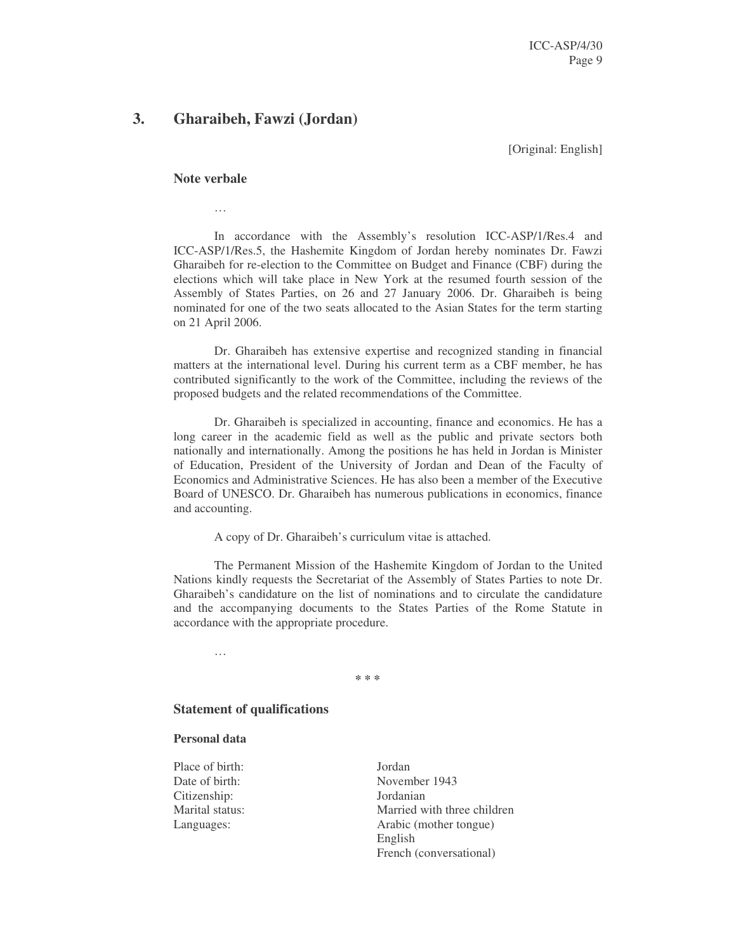# **3. Gharaibeh, Fawzi (Jordan)**

[Original: English]

#### **Note verbale**

…

In accordance with the Assembly's resolution ICC-ASP/1/Res.4 and ICC-ASP/1/Res.5, the Hashemite Kingdom of Jordan hereby nominates Dr. Fawzi Gharaibeh for re-election to the Committee on Budget and Finance (CBF) during the elections which will take place in New York at the resumed fourth session of the Assembly of States Parties, on 26 and 27 January 2006. Dr. Gharaibeh is being nominated for one of the two seats allocated to the Asian States for the term starting on 21 April 2006.

Dr. Gharaibeh has extensive expertise and recognized standing in financial matters at the international level. During his current term as a CBF member, he has contributed significantly to the work of the Committee, including the reviews of the proposed budgets and the related recommendations of the Committee.

Dr. Gharaibeh is specialized in accounting, finance and economics. He has a long career in the academic field as well as the public and private sectors both nationally and internationally. Among the positions he has held in Jordan is Minister of Education, President of the University of Jordan and Dean of the Faculty of Economics and Administrative Sciences. He has also been a member of the Executive Board of UNESCO. Dr. Gharaibeh has numerous publications in economics, finance and accounting.

A copy of Dr. Gharaibeh's curriculum vitae is attached.

The Permanent Mission of the Hashemite Kingdom of Jordan to the United Nations kindly requests the Secretariat of the Assembly of States Parties to note Dr. Gharaibeh's candidature on the list of nominations and to circulate the candidature and the accompanying documents to the States Parties of the Rome Statute in accordance with the appropriate procedure.

…

**\* \* \***

# **Statement of qualifications**

#### **Personal data**

Place of birth: Jordan Citizenship: Jordanian

Date of birth: November 1943 Marital status: Married with three children Languages: Arabic (mother tongue) English French (conversational)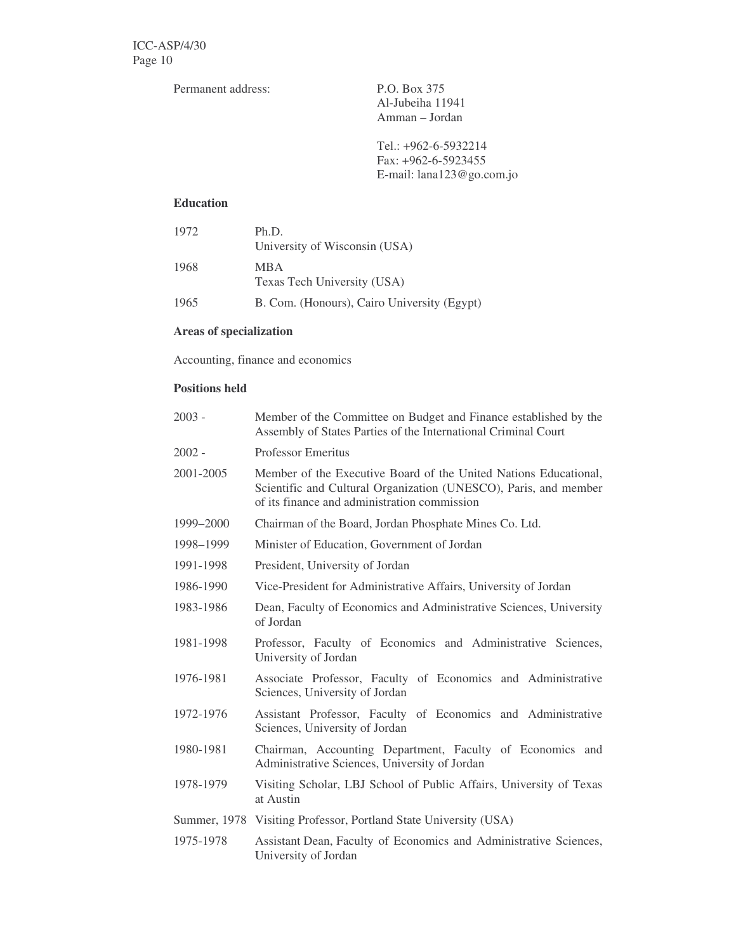Permanent address: P.O. Box 375

Al-Jubeiha 11941 Amman – Jordan

Tel.: +962-6-5932214 Fax: +962-6-5923455 E-mail: lana123@go.com.jo

# **Education**

| 1972 | Ph.D.<br>University of Wisconsin (USA)      |
|------|---------------------------------------------|
| 1968 | MBA.<br>Texas Tech University (USA)         |
| 1965 | B. Com. (Honours), Cairo University (Egypt) |

# **Areas of specialization**

Accounting, finance and economics

# **Positions held**

| $2003 -$  | Member of the Committee on Budget and Finance established by the<br>Assembly of States Parties of the International Criminal Court                                                   |  |
|-----------|--------------------------------------------------------------------------------------------------------------------------------------------------------------------------------------|--|
| 2002 -    | <b>Professor Emeritus</b>                                                                                                                                                            |  |
| 2001-2005 | Member of the Executive Board of the United Nations Educational,<br>Scientific and Cultural Organization (UNESCO), Paris, and member<br>of its finance and administration commission |  |
| 1999-2000 | Chairman of the Board, Jordan Phosphate Mines Co. Ltd.                                                                                                                               |  |
| 1998-1999 | Minister of Education, Government of Jordan                                                                                                                                          |  |
| 1991-1998 | President, University of Jordan                                                                                                                                                      |  |
| 1986-1990 | Vice-President for Administrative Affairs, University of Jordan                                                                                                                      |  |
| 1983-1986 | Dean, Faculty of Economics and Administrative Sciences, University<br>of Jordan                                                                                                      |  |
| 1981-1998 | Professor, Faculty of Economics and Administrative Sciences,<br>University of Jordan                                                                                                 |  |
| 1976-1981 | Associate Professor, Faculty of Economics and Administrative<br>Sciences, University of Jordan                                                                                       |  |
| 1972-1976 | Assistant Professor, Faculty of Economics and Administrative<br>Sciences, University of Jordan                                                                                       |  |
| 1980-1981 | Chairman, Accounting Department, Faculty of Economics and<br>Administrative Sciences, University of Jordan                                                                           |  |
| 1978-1979 | Visiting Scholar, LBJ School of Public Affairs, University of Texas<br>at Austin                                                                                                     |  |
|           | Summer, 1978 Visiting Professor, Portland State University (USA)                                                                                                                     |  |
| 1975-1978 | Assistant Dean, Faculty of Economics and Administrative Sciences,<br>University of Jordan                                                                                            |  |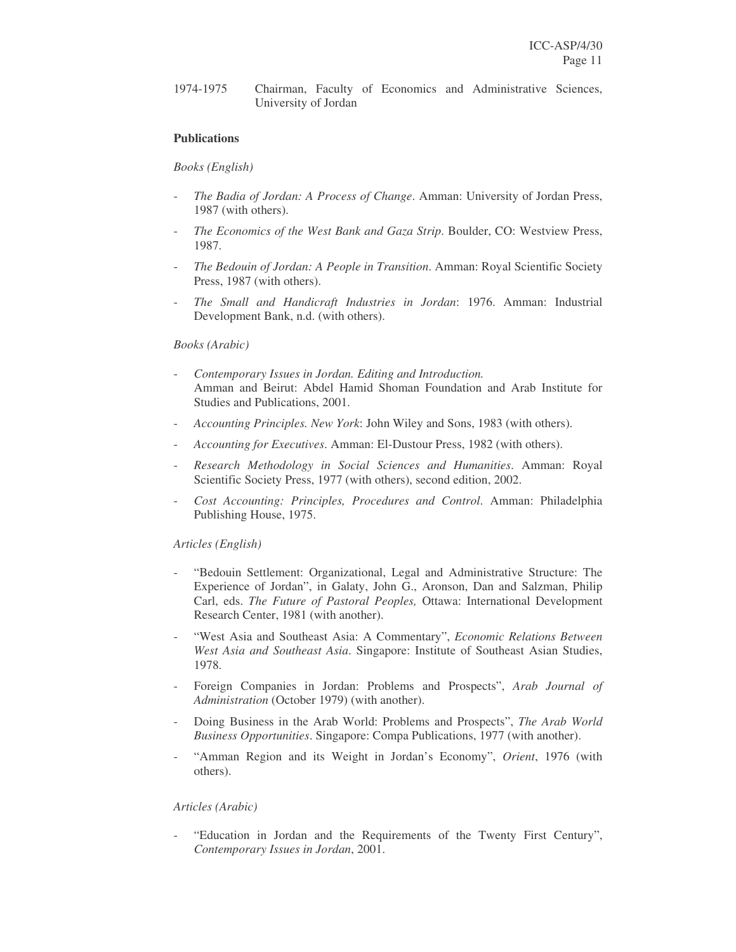1974-1975 Chairman, Faculty of Economics and Administrative Sciences, University of Jordan

# **Publications**

#### *Books (English)*

- *The Badia of Jordan: A Process of Change*. Amman: University of Jordan Press, 1987 (with others).
- *The Economics of the West Bank and Gaza Strip*. Boulder, CO: Westview Press, 1987.
- *The Bedouin of Jordan: A People in Transition*. Amman: Royal Scientific Society Press, 1987 (with others).
- *The Small and Handicraft Industries in Jordan*: 1976. Amman: Industrial Development Bank, n.d. (with others).

#### *Books (Arabic)*

- *Contemporary Issues in Jordan. Editing and Introduction.* Amman and Beirut: Abdel Hamid Shoman Foundation and Arab Institute for Studies and Publications, 2001.
- *Accounting Principles. New York*: John Wiley and Sons, 1983 (with others).
- *Accounting for Executives*. Amman: El-Dustour Press, 1982 (with others).
- *Research Methodology in Social Sciences and Humanities*. Amman: Royal Scientific Society Press, 1977 (with others), second edition, 2002.
- *Cost Accounting: Principles, Procedures and Control*. Amman: Philadelphia Publishing House, 1975.

#### *Articles (English)*

- "Bedouin Settlement: Organizational, Legal and Administrative Structure: The Experience of Jordan", in Galaty, John G., Aronson, Dan and Salzman, Philip Carl, eds. *The Future of Pastoral Peoples,* Ottawa: International Development Research Center, 1981 (with another).
- "West Asia and Southeast Asia: A Commentary", *Economic Relations Between West Asia and Southeast Asia*. Singapore: Institute of Southeast Asian Studies, 1978.
- Foreign Companies in Jordan: Problems and Prospects", *Arab Journal of Administration* (October 1979) (with another).
- Doing Business in the Arab World: Problems and Prospects", *The Arab World Business Opportunities*. Singapore: Compa Publications, 1977 (with another).
- "Amman Region and its Weight in Jordan's Economy", Orient, 1976 (with others).

# *Articles (Arabic)*

"Education in Jordan and the Requirements of the Twenty First Century", *Contemporary Issues in Jordan*, 2001.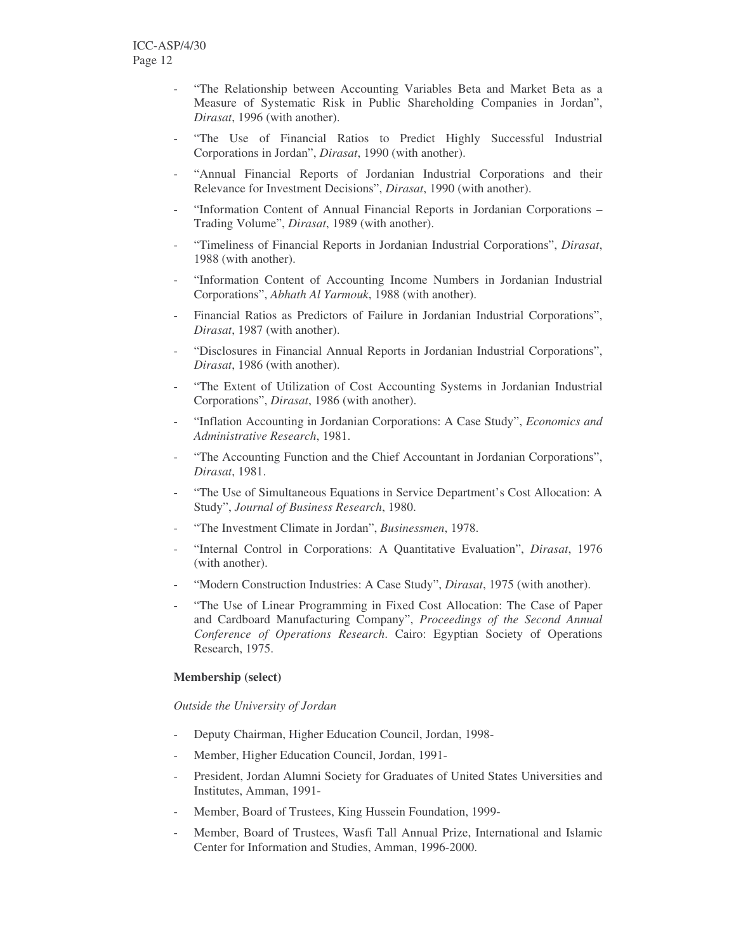- "The Relationship between Accounting Variables Beta and Market Beta as a Measure of Systematic Risk in Public Shareholding Companies in Jordan", *Dirasat*, 1996 (with another).
- "The Use of Financial Ratios to Predict Highly Successful Industrial Corporations in Jordan", *Dirasat*, 1990 (with another).
- "Annual Financial Reports of Jordanian Industrial Corporations and their Relevance for Investment Decisions", *Dirasat*, 1990 (with another).
- "Information Content of Annual Financial Reports in Jordanian Corporations -Trading Volume", *Dirasat*, 1989 (with another).
- "Timeliness of Financial Reports in Jordanian Industrial Corporations", *Dirasat*, 1988 (with another).
- "Information Content of Accounting Income Numbers in Jordanian Industrial Corporations", *Abhath Al Yarmouk*, 1988 (with another).
- Financial Ratios as Predictors of Failure in Jordanian Industrial Corporations", *Dirasat*, 1987 (with another).
- "Disclosures in Financial Annual Reports in Jordanian Industrial Corporations", *Dirasat*, 1986 (with another).
- "The Extent of Utilization of Cost Accounting Systems in Jordanian Industrial Corporations", *Dirasat*, 1986 (with another).
- "Inflation Accounting in Jordanian Corporations: A Case Study", *Economics and Administrative Research*, 1981.
- "The Accounting Function and the Chief Accountant in Jordanian Corporations", *Dirasat*, 1981.
- "The Use of Simultaneous Equations in Service Department's Cost Allocation: A Study", *Journal of Business Research*, 1980.
- "The Investment Climate in Jordan", *Businessmen*, 1978.
- "Internal Control in Corporations: A Quantitative Evaluation", *Dirasat*, 1976 (with another).
- "Modern Construction Industries: A Case Study", *Dirasat*, 1975 (with another).
- "The Use of Linear Programming in Fixed Cost Allocation: The Case of Paper and Cardboard Manufacturing Company", *Proceedings of the Second Annual Conference of Operations Research*. Cairo: Egyptian Society of Operations Research, 1975.

#### **Membership (select)**

*Outside the University of Jordan*

- Deputy Chairman, Higher Education Council, Jordan, 1998-
- Member, Higher Education Council, Jordan, 1991-
- President, Jordan Alumni Society for Graduates of United States Universities and Institutes, Amman, 1991-
- Member, Board of Trustees, King Hussein Foundation, 1999-
- Member, Board of Trustees, Wasfi Tall Annual Prize, International and Islamic Center for Information and Studies, Amman, 1996-2000.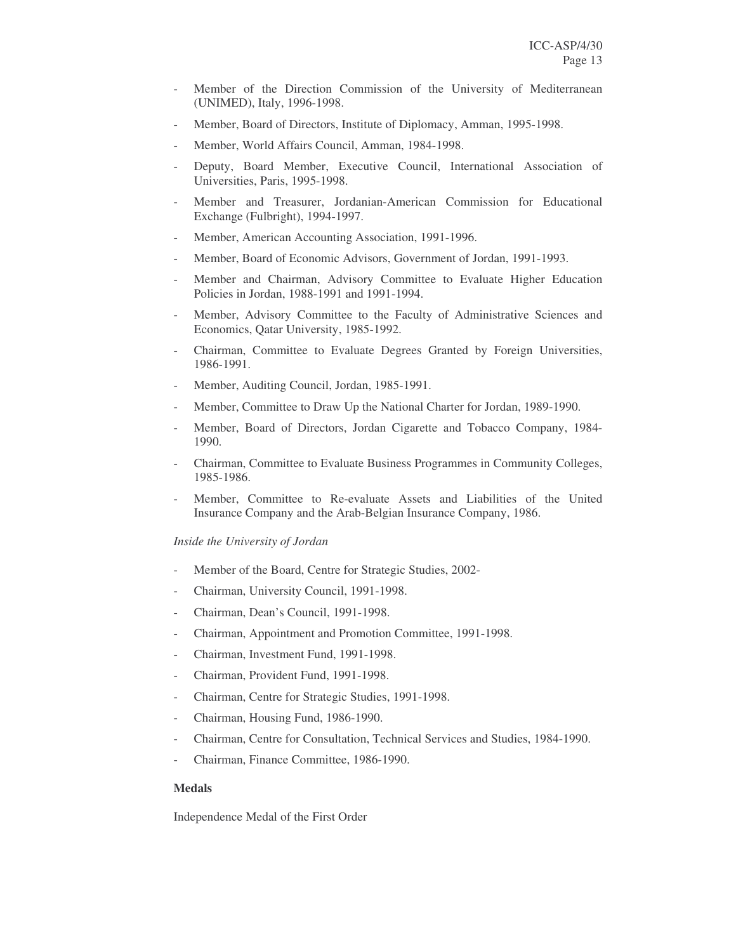- Member of the Direction Commission of the University of Mediterranean (UNIMED), Italy, 1996-1998.
- Member, Board of Directors, Institute of Diplomacy, Amman, 1995-1998.
- Member, World Affairs Council, Amman, 1984-1998.
- Deputy, Board Member, Executive Council, International Association of Universities, Paris, 1995-1998.
- Member and Treasurer, Jordanian-American Commission for Educational Exchange (Fulbright), 1994-1997.
- Member, American Accounting Association, 1991-1996.
- Member, Board of Economic Advisors, Government of Jordan, 1991-1993.
- Member and Chairman, Advisory Committee to Evaluate Higher Education Policies in Jordan, 1988-1991 and 1991-1994.
- Member, Advisory Committee to the Faculty of Administrative Sciences and Economics, Qatar University, 1985-1992.
- Chairman, Committee to Evaluate Degrees Granted by Foreign Universities, 1986-1991.
- Member, Auditing Council, Jordan, 1985-1991.
- Member, Committee to Draw Up the National Charter for Jordan, 1989-1990.
- Member, Board of Directors, Jordan Cigarette and Tobacco Company, 1984- 1990.
- Chairman, Committee to Evaluate Business Programmes in Community Colleges, 1985-1986.
- Member, Committee to Re-evaluate Assets and Liabilities of the United Insurance Company and the Arab-Belgian Insurance Company, 1986.

*Inside the University of Jordan*

- Member of the Board, Centre for Strategic Studies, 2002-
- Chairman, University Council, 1991-1998.
- Chairman, Dean's Council, 1991-1998.
- Chairman, Appointment and Promotion Committee, 1991-1998.
- Chairman, Investment Fund, 1991-1998.
- Chairman, Provident Fund, 1991-1998.
- Chairman, Centre for Strategic Studies, 1991-1998.
- Chairman, Housing Fund, 1986-1990.
- Chairman, Centre for Consultation, Technical Services and Studies, 1984-1990.
- Chairman, Finance Committee, 1986-1990.

#### **Medals**

Independence Medal of the First Order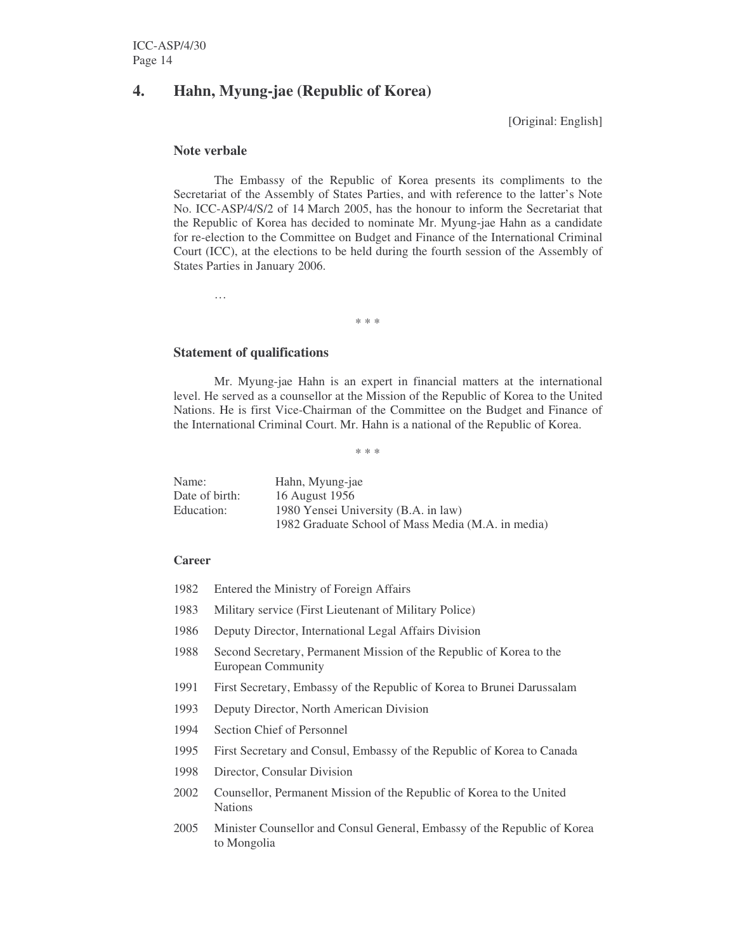# **4. Hahn, Myung-jae (Republic of Korea)**

[Original: English]

#### **Note verbale**

…

The Embassy of the Republic of Korea presents its compliments to the Secretariat of the Assembly of States Parties, and with reference to the latter's Note No. ICC-ASP/4/S/2 of 14 March 2005, has the honour to inform the Secretariat that the Republic of Korea has decided to nominate Mr. Myung-jae Hahn as a candidate for re-election to the Committee on Budget and Finance of the International Criminal Court (ICC), at the elections to be held during the fourth session of the Assembly of States Parties in January 2006.

\* \* \*

## **Statement of qualifications**

Mr. Myung-jae Hahn is an expert in financial matters at the international level. He served as a counsellor at the Mission of the Republic of Korea to the United Nations. He is first Vice-Chairman of the Committee on the Budget and Finance of the International Criminal Court. Mr. Hahn is a national of the Republic of Korea.

\* \* \*

| Name:          | Hahn, Myung-jae                                    |
|----------------|----------------------------------------------------|
| Date of birth: | 16 August 1956                                     |
| Education:     | 1980 Yensei University (B.A. in law)               |
|                | 1982 Graduate School of Mass Media (M.A. in media) |

#### **Career**

- 1982 Entered the Ministry of Foreign Affairs
- 1983 Military service (First Lieutenant of Military Police)
- 1986 Deputy Director, International Legal Affairs Division
- 1988 Second Secretary, Permanent Mission of the Republic of Korea to the European Community
- 1991 First Secretary, Embassy of the Republic of Korea to Brunei Darussalam
- 1993 Deputy Director, North American Division
- 1994 Section Chief of Personnel
- 1995 First Secretary and Consul, Embassy of the Republic of Korea to Canada
- 1998 Director, Consular Division
- 2002 Counsellor, Permanent Mission of the Republic of Korea to the United Nations
- 2005 Minister Counsellor and Consul General, Embassy of the Republic of Korea to Mongolia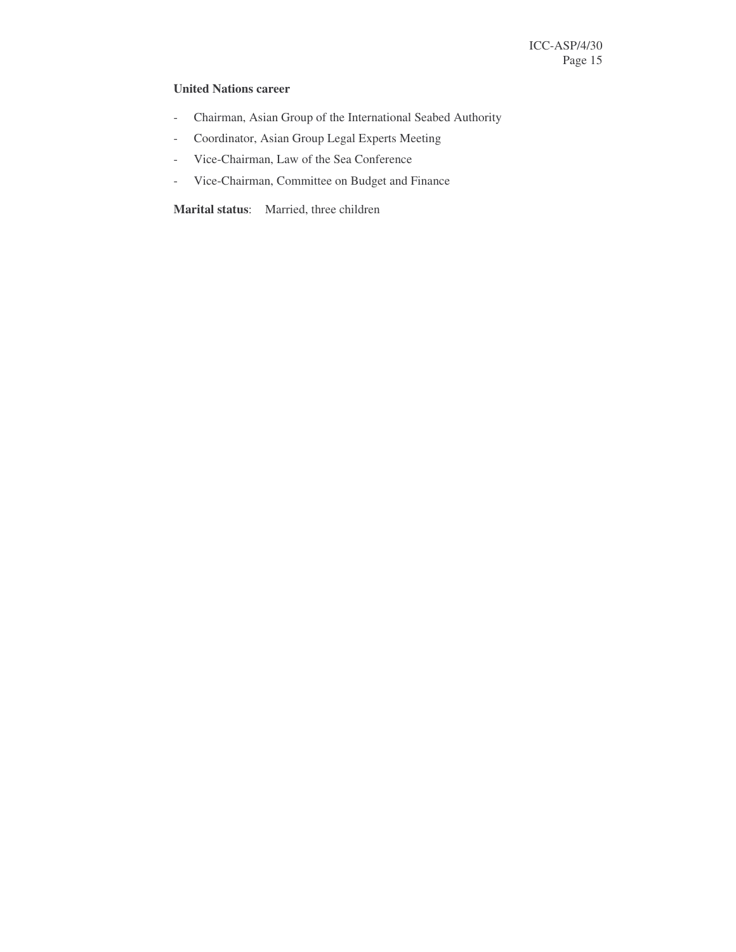# **United Nations career**

- Chairman, Asian Group of the International Seabed Authority
- Coordinator, Asian Group Legal Experts Meeting
- Vice-Chairman, Law of the Sea Conference
- Vice-Chairman, Committee on Budget and Finance

**Marital status**: Married, three children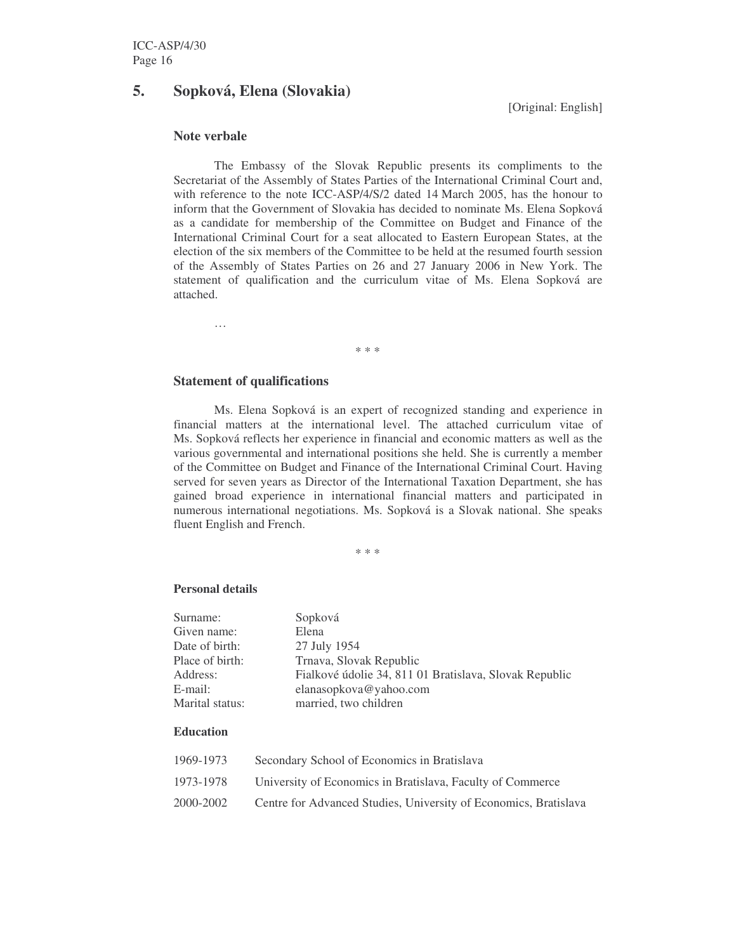# **5. Sopková, Elena (Slovakia)**

[Original: English]

# **Note verbale**

The Embassy of the Slovak Republic presents its compliments to the Secretariat of the Assembly of States Parties of the International Criminal Court and, with reference to the note ICC-ASP/4/S/2 dated 14 March 2005, has the honour to inform that the Government of Slovakia has decided to nominate Ms. Elena Sopková as a candidate for membership of the Committee on Budget and Finance of the International Criminal Court for a seat allocated to Eastern European States, at the election of the six members of the Committee to be held at the resumed fourth session of the Assembly of States Parties on 26 and 27 January 2006 in New York. The statement of qualification and the curriculum vitae of Ms. Elena Sopková are attached.

\* \* \*

#### **Statement of qualifications**

…

Ms. Elena Sopková is an expert of recognized standing and experience in financial matters at the international level. The attached curriculum vitae of Ms. Sopková reflects her experience in financial and economic matters as well as the various governmental and international positions she held. She is currently a member of the Committee on Budget and Finance of the International Criminal Court. Having served for seven years as Director of the International Taxation Department, she has gained broad experience in international financial matters and participated in numerous international negotiations. Ms. Sopková is a Slovak national. She speaks fluent English and French.

\* \* \*

#### **Personal details**

| Surname:        | Sopková                                                |
|-----------------|--------------------------------------------------------|
| Given name:     | Elena                                                  |
| Date of birth:  | 27 July 1954                                           |
| Place of birth: | Trnava, Slovak Republic                                |
| Address:        | Fialkové údolie 34, 811 01 Bratislava, Slovak Republic |
| E-mail:         | elanasopkova@yahoo.com                                 |
| Marital status: | married, two children                                  |
|                 |                                                        |

## **Education**

| 1969-1973 | Secondary School of Economics in Bratislava                      |
|-----------|------------------------------------------------------------------|
| 1973-1978 | University of Economics in Bratislava, Faculty of Commerce       |
| 2000-2002 | Centre for Advanced Studies, University of Economics, Bratislava |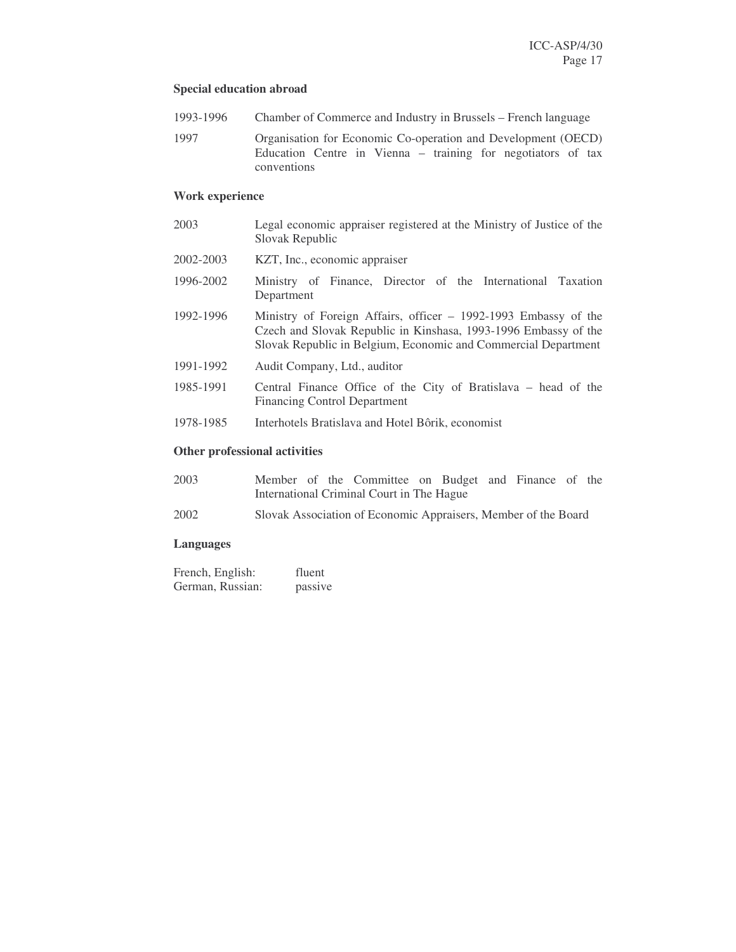# **Special education abroad**

- 1993-1996 Chamber of Commerce and Industry in Brussels French language
- 1997 Organisation for Economic Co-operation and Development (OECD) Education Centre in Vienna – training for negotiators of tax conventions

# **Work experience**

| 2003                                 | Legal economic appraiser registered at the Ministry of Justice of the<br>Slovak Republic                                                                                                             |  |  |  |  |  |  |
|--------------------------------------|------------------------------------------------------------------------------------------------------------------------------------------------------------------------------------------------------|--|--|--|--|--|--|
| 2002-2003                            | KZT, Inc., economic appraiser                                                                                                                                                                        |  |  |  |  |  |  |
| 1996-2002                            | Ministry of Finance, Director of the International Taxation<br>Department                                                                                                                            |  |  |  |  |  |  |
| 1992-1996                            | Ministry of Foreign Affairs, officer – 1992-1993 Embassy of the<br>Czech and Slovak Republic in Kinshasa, 1993-1996 Embassy of the<br>Slovak Republic in Belgium, Economic and Commercial Department |  |  |  |  |  |  |
| 1991-1992                            | Audit Company, Ltd., auditor                                                                                                                                                                         |  |  |  |  |  |  |
| 1985-1991                            | Central Finance Office of the City of Bratislava – head of the<br><b>Financing Control Department</b>                                                                                                |  |  |  |  |  |  |
| 1978-1985                            | Interhotels Bratislava and Hotel Bôrik, economist                                                                                                                                                    |  |  |  |  |  |  |
| <b>Other professional activities</b> |                                                                                                                                                                                                      |  |  |  |  |  |  |

| 2003 |                                           |  |  | Member of the Committee on Budget and Finance of the |  |  |  |  |
|------|-------------------------------------------|--|--|------------------------------------------------------|--|--|--|--|
|      | International Criminal Court in The Hague |  |  |                                                      |  |  |  |  |

2002 Slovak Association of Economic Appraisers, Member of the Board

# **Languages**

| French, English: | fluent  |
|------------------|---------|
| German, Russian: | passive |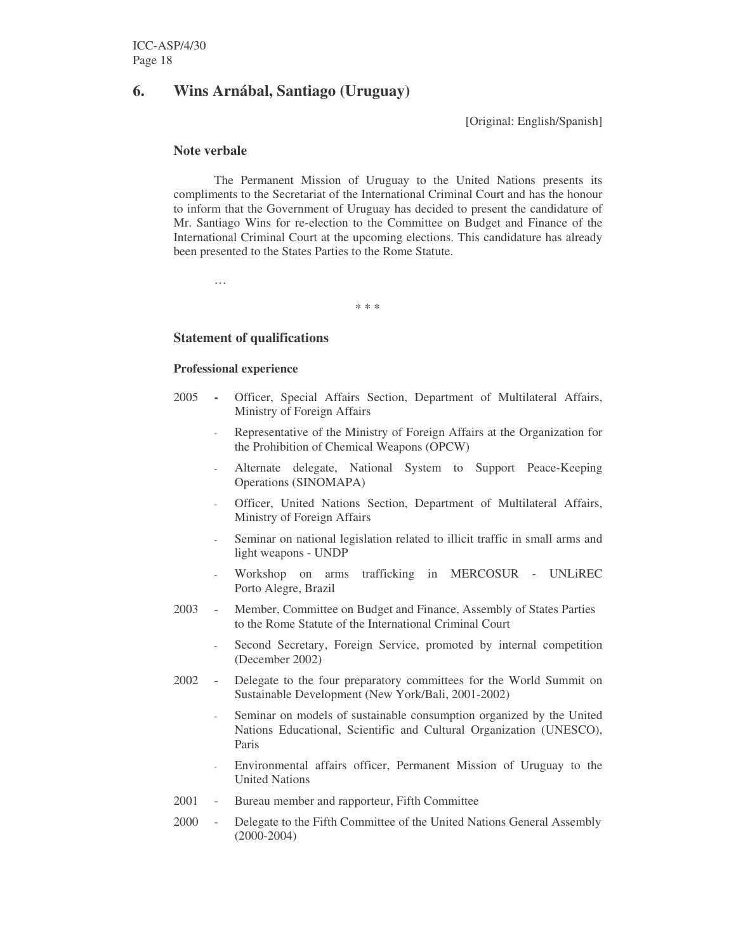# **6. Wins Arnábal, Santiago (Uruguay)**

[Original: English/Spanish]

## **Note verbale**

The Permanent Mission of Uruguay to the United Nations presents its compliments to the Secretariat of the International Criminal Court and has the honour to inform that the Government of Uruguay has decided to present the candidature of Mr. Santiago Wins for re-election to the Committee on Budget and Finance of the International Criminal Court at the upcoming elections. This candidature has already been presented to the States Parties to the Rome Statute.

…

\* \* \*

# **Statement of qualifications**

## **Professional experience**

- 2005 **-** Officer, Special Affairs Section, Department of Multilateral Affairs, Ministry of Foreign Affairs
	- Representative of the Ministry of Foreign Affairs at the Organization for the Prohibition of Chemical Weapons (OPCW)
	- Alternate delegate, National System to Support Peace-Keeping Operations (SINOMAPA)
	- Officer, United Nations Section, Department of Multilateral Affairs, Ministry of Foreign Affairs
	- Seminar on national legislation related to illicit traffic in small arms and light weapons - UNDP
	- Workshop on arms trafficking in MERCOSUR UNLiREC Porto Alegre, Brazil
- 2003 Member, Committee on Budget and Finance, Assembly of States Parties to the Rome Statute of the International Criminal Court
	- Second Secretary, Foreign Service, promoted by internal competition (December 2002)
- 2002 Delegate to the four preparatory committees for the World Summit on Sustainable Development (New York/Bali, 2001-2002)
	- Seminar on models of sustainable consumption organized by the United Nations Educational, Scientific and Cultural Organization (UNESCO), Paris
	- Environmental affairs officer, Permanent Mission of Uruguay to the United Nations
- 2001 Bureau member and rapporteur, Fifth Committee
- 2000 Delegate to the Fifth Committee of the United Nations General Assembly (2000-2004)